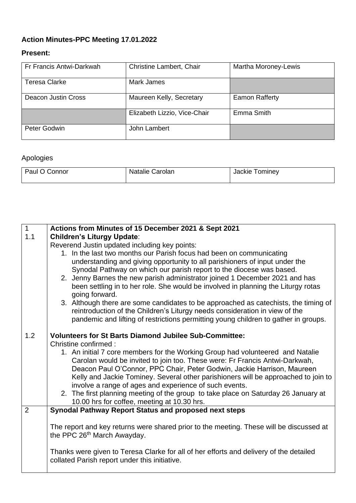## **Action Minutes-PPC Meeting 17.01.2022**

## **Present:**

| Fr Francis Antwi-Darkwah | Christine Lambert, Chair     | Martha Moroney-Lewis |
|--------------------------|------------------------------|----------------------|
| Teresa Clarke            | Mark James                   |                      |
| Deacon Justin Cross      | Maureen Kelly, Secretary     | Eamon Rafferty       |
|                          | Elizabeth Lizzio, Vice-Chair | Emma Smith           |
| Peter Godwin             | John Lambert                 |                      |

## Apologies

| Paul O   | <b>،</b> ۱۹ا۹'۱۰' | <b>rominey</b> |
|----------|-------------------|----------------|
| , Connor | Carolan           | ласкіе         |
|          |                   |                |

| $\mathbf 1$    | Actions from Minutes of 15 December 2021 & Sept 2021                                                |  |  |
|----------------|-----------------------------------------------------------------------------------------------------|--|--|
| 1.1            | <b>Children's Liturgy Update:</b>                                                                   |  |  |
|                | Reverend Justin updated including key points:                                                       |  |  |
|                | 1. In the last two months our Parish focus had been on communicating                                |  |  |
|                | understanding and giving opportunity to all parishioners of input under the                         |  |  |
|                | Synodal Pathway on which our parish report to the diocese was based.                                |  |  |
|                | 2. Jenny Barnes the new parish administrator joined 1 December 2021 and has                         |  |  |
|                | been settling in to her role. She would be involved in planning the Liturgy rotas<br>going forward. |  |  |
|                | 3. Although there are some candidates to be approached as catechists, the timing of                 |  |  |
|                | reintroduction of the Children's Liturgy needs consideration in view of the                         |  |  |
|                | pandemic and lifting of restrictions permitting young children to gather in groups.                 |  |  |
|                |                                                                                                     |  |  |
| 1.2            | <b>Volunteers for St Barts Diamond Jubilee Sub-Committee:</b>                                       |  |  |
|                | Christine confirmed:                                                                                |  |  |
|                | 1. An initial 7 core members for the Working Group had volunteered and Natalie                      |  |  |
|                | Carolan would be invited to join too. These were: Fr Francis Antwi-Darkwah,                         |  |  |
|                | Deacon Paul O'Connor, PPC Chair, Peter Godwin, Jackie Harrison, Maureen                             |  |  |
|                | Kelly and Jackie Tominey. Several other parishioners will be approached to join to                  |  |  |
|                | involve a range of ages and experience of such events.                                              |  |  |
|                | 2. The first planning meeting of the group to take place on Saturday 26 January at                  |  |  |
|                | 10.00 hrs for coffee, meeting at 10.30 hrs.                                                         |  |  |
| $\overline{2}$ | Synodal Pathway Report Status and proposed next steps                                               |  |  |
|                | The report and key returns were shared prior to the meeting. These will be discussed at             |  |  |
|                | the PPC 26 <sup>th</sup> March Awayday.                                                             |  |  |
|                |                                                                                                     |  |  |
|                | Thanks were given to Teresa Clarke for all of her efforts and delivery of the detailed              |  |  |
|                | collated Parish report under this initiative.                                                       |  |  |
|                |                                                                                                     |  |  |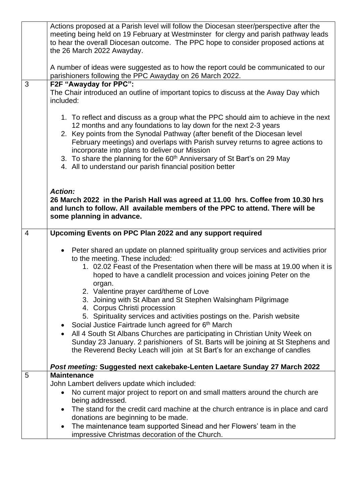|                | Actions proposed at a Parish level will follow the Diocesan steer/perspective after the<br>meeting being held on 19 February at Westminster for clergy and parish pathway leads                                                                                                                                                                                           |
|----------------|---------------------------------------------------------------------------------------------------------------------------------------------------------------------------------------------------------------------------------------------------------------------------------------------------------------------------------------------------------------------------|
|                | to hear the overall Diocesan outcome. The PPC hope to consider proposed actions at<br>the 26 March 2022 Awayday.                                                                                                                                                                                                                                                          |
|                | A number of ideas were suggested as to how the report could be communicated to our<br>parishioners following the PPC Awayday on 26 March 2022.                                                                                                                                                                                                                            |
| 3              | F2F "Awayday for PPC":                                                                                                                                                                                                                                                                                                                                                    |
|                | The Chair introduced an outline of important topics to discuss at the Away Day which<br>included:                                                                                                                                                                                                                                                                         |
|                | 1. To reflect and discuss as a group what the PPC should aim to achieve in the next<br>12 months and any foundations to lay down for the next 2-3 years<br>2. Key points from the Synodal Pathway (after benefit of the Diocesan level<br>February meetings) and overlaps with Parish survey returns to agree actions to<br>incorporate into plans to deliver our Mission |
|                | 3. To share the planning for the 60 <sup>th</sup> Anniversary of St Bart's on 29 May<br>4. All to understand our parish financial position better                                                                                                                                                                                                                         |
|                | <b>Action:</b><br>26 March 2022 in the Parish Hall was agreed at 11.00 hrs. Coffee from 10.30 hrs                                                                                                                                                                                                                                                                         |
|                | and lunch to follow. All available members of the PPC to attend. There will be<br>some planning in advance.                                                                                                                                                                                                                                                               |
| $\overline{4}$ | Upcoming Events on PPC Plan 2022 and any support required                                                                                                                                                                                                                                                                                                                 |
|                |                                                                                                                                                                                                                                                                                                                                                                           |
|                | Peter shared an update on planned spirituality group services and activities prior<br>to the meeting. These included:                                                                                                                                                                                                                                                     |
|                | 1. 02.02 Feast of the Presentation when there will be mass at 19.00 when it is<br>hoped to have a candlelit procession and voices joining Peter on the                                                                                                                                                                                                                    |
|                | organ.                                                                                                                                                                                                                                                                                                                                                                    |
|                | 2. Valentine prayer card/theme of Love<br>3. Joining with St Alban and St Stephen Walsingham Pilgrimage<br>4. Corpus Christi procession                                                                                                                                                                                                                                   |
|                | 5. Spirituality services and activities postings on the. Parish website                                                                                                                                                                                                                                                                                                   |
|                | Social Justice Fairtrade lunch agreed for 6 <sup>th</sup> March<br>All 4 South St Albans Churches are participating in Christian Unity Week on<br>Sunday 23 January. 2 parishioners of St. Barts will be joining at St Stephens and<br>the Reverend Becky Leach will join at St Bart's for an exchange of candles                                                         |
|                | Post meeting: Suggested next cakebake-Lenten Laetare Sunday 27 March 2022                                                                                                                                                                                                                                                                                                 |
| 5              | <b>Maintenance</b>                                                                                                                                                                                                                                                                                                                                                        |
|                | John Lambert delivers update which included:                                                                                                                                                                                                                                                                                                                              |
|                | No current major project to report on and small matters around the church are<br>$\bullet$<br>being addressed.                                                                                                                                                                                                                                                            |
|                | The stand for the credit card machine at the church entrance is in place and card<br>donations are beginning to be made.                                                                                                                                                                                                                                                  |